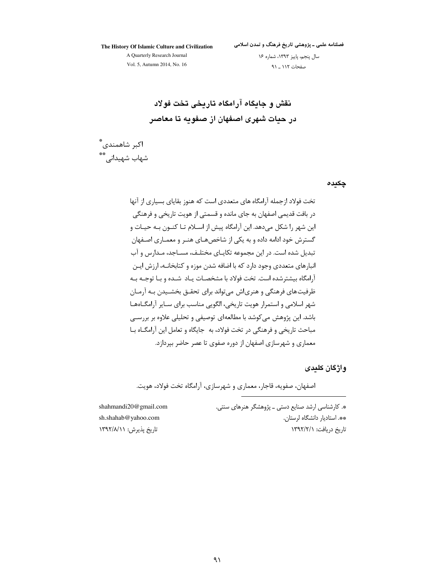فصلنامه علمی ـ پژوهشی تاریخ فرهنگ و تمدن اسلامی

The History Of Islamic Culture and Civilization A Quarterly Research Journal Vol. 5, Autumn 2014, No. 16

سال پنجم، پاییز ١٣٩٣، شماره ١۶ صفحات ١١٢ \_ ٩١

نقش و جایگاه آرامگاه تاریخی تخت فولاد در حبات شهری اصفهان از صفویه تا معاصر

اكبر شاهمندى ٌّ شھاب شھیدانے ،\*\*

چکیدہ

تخت فولاد ازجمله آرامگاه های متعددی است که هنوز بقایای بسیاری از آنها در بافت قديمي اصفهان به جاي مانده و قسمتي از هويت تاريخي و فرهنگي این شهر را شکل میدهد. این آرامگاه پیش از اسـلام تـا کنــون بــه حیــات و گسترش خود ادامه داده و به یکی از شاخص هـای هنـر و معمـاری اصـفهان تبدیل شده است. در این مجموعه تکاپـای مختلـف، مسـاجد، مـدارس و آب انبارهای متعددی وجود دارد که با اضافه شدن موزه و کتابخانــه، ارزش ایــن آرامگاه بیشترشده است. تخت فولاد با مشخصـات یـاد شـده و بـا توجـه بـه ظرفیت های فرهنگی و هنریاش می تواند برای تحقـق بخشـیدن بـه آرمـان شهر اسلامی و استمرار هویت تاریخی، الگویی مناسب برای سـایر آرامگــاهمـا باشد. این پژوهش می کوشد با مطالعهای توصیفی و تحلیلی علاوه بر بررسی مباحث تاریخی و فرهنگی در تخت فولاد، به حایگاه و تعامل این آرامگــاه بــا معماری و شهرسازی اصفهان از دوره صفوی تا عصر حاضر بیردازد.

وإژگان كلىدى

اصفهان، صفویه، قاجار، معماری و شهرسازی، آرامگاه تخت فولاد، هویت.

\*. کارشناسی ارشد صنایع دستی \_ پژوهشگر هنرهای سنتی. \*\*. استادیار دانشگاه لرستان. تاریخ دریافت: ١٣٩٢/٢/١

shahmandi20@gmail.com sh.shahab@yahoo.com تاریخ پذیرش: ۱۳۹۲/۸/۱۱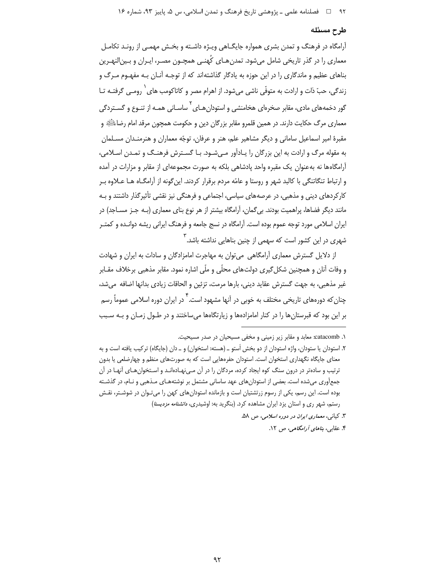#### طرح مسئله

آرامگاه در فرهنگ و تمدن بشری همواره جایگـاهی ویـژه داشـته و بخـش مهمـی از رونـد تکامـل معماری را در گذر تاریخی شامل می شود. تمدن هـای کُهنـی همچـون مصـر، ایـران و بـینالنهـرین بناهای عظیم و ماندگاری را در این حوزه به یادگار گذاشتهاند که از توجـه آنـان بـه مفهـوم مـرگ و زندگی، حبّ ذات و ارادت به متوفّی ناشی میشود. از اهرام مصر و کاتاکومب های <sup>۱</sup> رومـی گرفتـه تـا گور دخمههای مادی، مقابر صخرهای هخامنشی و استودان هـای <sup>۲</sup> ساسـانی همـه از تنـوع و گسـتردگ*ی* معماری مرگ حکایت دارند. در همین قلمرو مقابر بزرگان دین و حکومت همچون مرقد امام رضاءلَتَگَةِ و مقبرهٔ امیر اسماعیل سامانی و دیگر مشاهیر علم، هنر و عرفان، توجّه معماران و هنرمنـدان مسـلمان به مقوله مرگ و ارادت به این بزرگان را پـادآور مـی شـود. بـا گسـترش فرهنـگ و تمـدن اسـلامی، آرامگاهها نه بهعنوان یک مقبره واحد یادشاهی بلکه به صورت مجموعهای از مقابر و مزارات در آمده و ارتباط تنگاتنگی با کالید شهر و روستا و عامّه مردم برقرار کردند. این گونه از آرامگــاه هــا عــلاوه بــر کارکردهای دینی و مذهبی، در عرصههای سیاسی، اجتماعی و فرهنگی نیز نقشی تأثیرگذار داشتند و بـه مانند دیگر فضاها، پراهمیت بودند. بی گمان، آرامگاه بیشتر از هر نوع بنای معماری (بـه جـز مســاجد) در ایران اسلامی مورد توجه عموم بوده است. آرامگاه در نسج جامعه و فرهنگ ایرانی ریشه دوانـده و کمتـر شهری در این کشور است که سهمی از چنین بناهایی نداشته باشد.<sup>۳</sup>

از دلایل گسترش معماری آرامگاهی می توان به مهاجرت امامزادگان و سادات به ایران و شهادت و وفات آنان و همچنین شکل گیری دولتهای محلّی و ملّی اشاره نمود. مقابر مذهبی برخلاف مقـابر غير مذهبي، به جهت گسترش عقايد ديني، بارها مرمت، تزئين و الحاقات زيادي بدانها اضافه ًمي شد، چنان که دورههای تاریخی مختلف به خوبی در آنها مشهود است.<sup>۴</sup> در ایران دوره اسلامی عموماً رسم بر این بود که قبرستانها را در کنار امامزادهها و زیارتگاهها میساختند و در طـول زمـان و بـه سـبب

۳. کیان<sub>ی</sub>، م*عماری ایران در دوره اسلامی*، ص ۵۸.

۴. عقابی، *بناهای آرامگاهی، ص ۱۲.* 

۱. catacomb: معابد و مقابر زیر زمینی و مخفی مسیحیان در صدر مسیحیت.

۲. استودان یا ستودان، واژه استودان از دو بخش اَستو ــ (هسته: استخوان) و ــ دان (جایگاه) ترکیب یافته است و به معنای جایگاه نگهداری استخوان است. استودان حفرههایی است که به صورتهای منظم و چهارضلعی یا بدون ترتیب و سادهتر در درون سنگ کوه ایجاد کرده، مردگان را در آن مـی،هادهانـد و اسـتخوان۱هـای آنهـا در آن جمعآوری می شده است. بعضی از استودان های عهد ساسانی مشتمل بر نوشتههـای مـذهبی و نـام، در گذشـته بوده است. این رسم، یکی از رسوم زرتشتیان است و بازمانده استودانهای کهن را می تـوان در شوشـتر، نقـش رستم، شهر ری و استان یزد ایران مشاهده کرد. (بنگرید به: اوشیدری، *دانشنامه مزدیسنا)*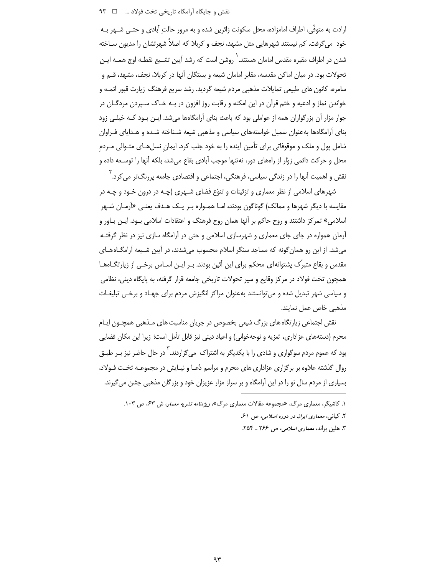ارادت به متوفَّى، اطراف امامزاده، محل سكونت زائرين شده و به مرور حالت آبادي و حتـي شــهر بـه خود می گرفت. کم نیستند شهرهایی مثل مشهد، نجف و کربلا که اصلاً شهرتشان را مدیون سـاخته شدن در اطراف مقبره مقدس امامان هستند. ` روشن است که رشد آیین تشـیع نقطـه اوج همـه ایـن تحولات بود. در میان اماکن مقدسه، مقابر امامان شیعه و بستگان آنها در کربلا، نجف، مشهد، قــم و سامره، کانون های طبیعی تمایلات مذهبی مردم شیعه گردید. رشد سریع فرهنگ زیارت قبور ائمـه و خواندن نماز و ادعیه و ختم قرآن در این امکنه و رقابت روز افزون در بـه خـاک سـپردن مردگــان در جوار مزار أن بزرگواران همه از عواملی بود که باعث بنای آرامگاهها میشد. ایـن بـود کـه خیلـی زود بنای آرامگاهها بهعنوان سمبل خواستههای سیاسی و مذهبی شیعه شـناخته شـده و هـدایای فـراوان شامل پول و ملک و موقوفاتی برای تأمین آینده را به خود جلب کرد. ایمان نسلهـای متـوالی مـردم محل و حرکت دائمی زوّار از رامهای دور، نهتنها موجب آبادی بقاع می شد، بلکه آنها را توسـعه داده و نقش و اهمیت آنها را در زندگی سیاسی، فرهنگی، اجتماعی و اقتصادی جامعه پررنگ¤ر می کرد. <sup>۲</sup>

شهرهای اسلامی از نظر معماری و تزئینات و تنوّع فضای شـهری (چـه در درون خـود و چـه در مقایسه با دیگر شهرها و ممالک) گوناگون بودند، امـا همـواره بـر یـک هـدف یعنـی «آرمـان شـهر اسلامی» تمرکز داشتند و روح حاکم بر آنها همان روح فرهنگ و اعتقادات اسلامی بود. ایـن بـاور و آرمان همواره در جای جای معماری و شهرسازی اسلامی و حتی در آرامگاه سازی نیز در نظر گرفتـه می شد. از این رو همان گونه که مساجد سنگر اسلام محسوب می شدند، در آیین شیعه آرامگاه های مقدس و بقاع متبرِّک پشتوانه ای محکم برای این آئین بودند. بـر ایـن اسـاس برخـی از زیارتگــاهـا\_ همچون تخت فولاد در مرکز وقایع و سپر تحولات تاریخی جامعه قرار گرفته، به پایگاه دینی، نظامی و سیاسی شهر تبدیل شده و می توانستند بهعنوان مراکز انگیزش مردم برای جهـاد و برخـی تبلیغـات مذهبي خاص عمل نمايند.

نقش اجتماعی زیارتگاه های بزرگ شیعی بخصوص در جریان مناسبت های مـذهبی همچـون ایـام محرم (دستههای عزاداری، تعزیه و نوحهخوانی) و اعیاد دینی نیز قابل تأمل است؛ زیرا این مکان فضایی بود که عموم مردم سوگواری و شادی را با یکدیگر به اشتراک ً می گزاردند. <sup>۱</sup> در حال حاضر نیز بـر طبــق روال گذشته علاوه بر برگزاری عزاداری های محرم و مراسم دُعـا و نیـایش در مجموعـه تخـت فـولاد، بسیاری از مردم سال نو را در این آرامگاه و بر سراز مزار عزیزان خود و بزرگان مذهبی جشن می گیرند.

۱. کاشیگر، معماری مرگ، «مجموعه مقالات معماری مرگ»، *ویژهنامه نشریه معمار*، ش ۶۳، ص ۱۰۳.

٢. کیانی، معماری ایران در دوره اسلامی، ص ۶۱.

۳. هلین براند، *معماری اسلامی، ص ۲۶۶ ـ* ۲۵۴.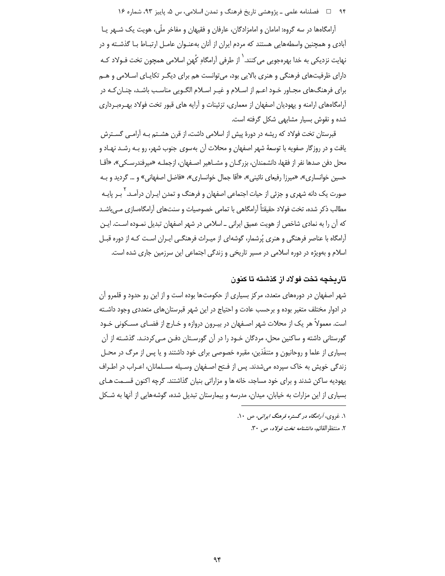۹۴ فصلنامه علمي ـ پژوهشي تاريخ فرهنگ و تمدن اسلامي، س ۵، پاييز ۹۳، شماره ۱۶

آرامگاهها در سه گروه: امامان و امامزادگان، عارفان و فقیهان و مفاخر ملّی، هویت یک شـهر یـا آبادی و همچنین واسطههایی هستند که مردم ایران از آنان بهعنـوان عامـل ارتبـاط بـا گذشـته و در نهایت نزدیکی به خدا بهرهجویی می *کنند. ` از طرفی آرامگاه کُ*هن اسلامی همچون تخت فـولاد کـه دارای ظرفیتهای فرهنگی و هنری بالایی بود، میتوانست هم برای دیگـر تکایـای اسـلامی و هـم برای فرهنگ@ای مجـاور خـود اعـم از اسـلام و غیـر اسـلام الگـویی مناسـب باشـد، چنـان کـه در آرامگاههای ارامنه و پهودیان اصفهان از معماری، تزئینات و آرایه های قبور تخت فولاد بهـروبـرداری شده و نقوش بسیار مشابهی شکل گرفته است.

قبرستان تخت فولاد که ریشه در دورهٔ پیش از اسلامی داشت، از قرن هشــتم بـه آرامــی گســترش یافت و در روزگار صفویه با توسعهٔ شهر اصفهان و محلات آن بهسوی جنوب شهر، رو بـه رشـد نهـاد و محل دفن صدها نفر از فقها، دانشمندان، بزرگــان و مشــاهیر اصــفهان، ازجملــه «میرفندرســکی»، «أقــا حسین خوانساری»، «میرزا رفیعای نائینی»، «آقا جمال خوانساری»، «فاضل اصفهانی» و … گردید و بـه صورت یک دانه شهری و جزئی از حیات اجتماعی اصفهان و فرهنگ و تمدن ایـران درآمـد.<sup>۲</sup> بـر پایـه مطالب ذکر شده، تخت فولاد حقیقتاً آرامگاهی با تمامی خصوصیات و سنتهای آرامگاهسازی مے باشـد که آن را به نمادی شاخص از هویت عمیق ایرانی ـ اسلامی در شهر اصفهان تبدیل نمـوده اسـت. ایـن آرامگاه با عناصر فرهنگی و هنری پُرشمار، گوشهای از میـراث فرهنگـی ایـران اسـت کـه از دوره قبـل اسلام و بهویژه در دوره اسلامی در مسیر تاریخی و زندگی اجتماعی این سرزمین جاری شده است.

### تاریخچه تخت فولاد از گذشته تا کنون

شهر اصفهان در دورههای متعدد، مرکز بسیاری از حکومتها بوده است و از این رو حدود و قلمرو آن در ادوار مختلف متغیر بوده و برحسب عادت و احتیاج در این شهر قبرستانهای متعددی وجود داشـته است. معمولاً هر یک از محلات شهر اصـفهان در بیـرون دروازه و خـارج از فضـای مسـکونی خـود گورستانی داشته و ساکنین محل، مردگان خـود را در آن گورسـتان دفـن مـی کردنـد. گذشـته از آن بسیاری از علما و روحانیون و متنفَّذین، مقبره خصوصی برای خود داشتند و یا پس از مرگ در محـل زندگی خویش به خاک سپرده میشدند. پس از فتح اصـفهان وسـیله مسـلمانان، اعـراب در اطـراف پهوديه ساکن شدند و براي خود مساجد، خانه ها و مزاراتي بنيان گذاشتند. گرچه اکنون قسـمت هـاي بسیاری از این مزارات به خیابان، میدان، مدرسه و بیمارستان تبدیل شده، گوشههایی از آنها به شـکل

> ۱. غږوي، *آرامگاه در گستره فرهنگ ايراني*، ص ۱۰. ۲. منتظرالقائم، *دانشنامه تخت فولاد*، ص ۳۰.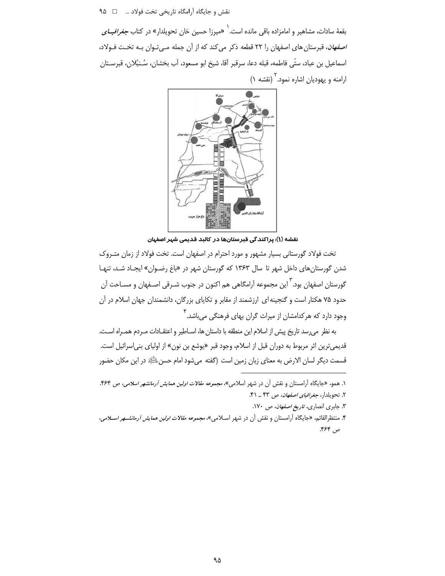نقش و جايگاه آرامگاه تاريخي تخت فولاد ... □ ٩۵

بقعهٔ سادات، مشاهیر و امامزاده باقی مانده است.<sup>\</sup> «میرزا حسین خان تحویلدار» در کتاب *جغرافیــای اصفهان*، قبرستان های اصفهان را ۲۲ قطعه ذکر می *ک*ند که از آن جمله مـیتـوان بـه تخـت فـولاد، اسماعيل بن عباد، ستّى فاطمه، قبله دعا، سرقبر آقا، شيخ ابو مسعود، آب بخشان، سُـنبُلان، قبرسـتان ارامنه و یهودیان اشاره نمود.<sup>۲</sup> (نقشه ۱)



نقشه (۱): پراکند گی قبرستانها در کالبد قدیمی شہر اصفہان

تخت فولاد گورستانی بسیار مشهور و مورد احترام در اصفهان است. تخت فولاد از زمان متـروک شدن گورستانهای داخل شهر تا سال ۱۳۶۳ که گورستان شهر در «باغ رضوان» ایجـاد شـد، تنهـا گورستان اصفهان بود.<sup>۲</sup> این مجموعه آرامگاهی هم اکنون در جنوب شـرقی اصـفهان و مسـاحت آن حدود ۷۵ هکتار است و گنجینه ای ارزشمند از مقابر و تکایای بزرگان، دانشمندان جهان اسلام در آن ِ وجود دارد که هرکدامشان از میراث گران بهای فرهنگی می،باشد.<sup>۴</sup>

به نظر میرسد تاریخ پیش از اسلام این منطقه با داستان ها، اسـاطیر و اعتقـادات مـردم همـراه اسـت. قديمي ترين اثر مربوط به دوران قبل از اسلام، وجود قبر «يوشع بن نون» از اولياي بني|سرائيل است. قسمت دیگر لسان الارض به معنای زبان زمین است (گفته میشود امام حسن اللَّهِ در این مکان حضور

- ۳. جابری انصاری، ت*اریخ اصفهان*، ص ۱۷۰.
- ۴. منتظرالقائم، «جايگاه آرامستان و نقش آن در شهر اسـلامي»، *مجموعه مقالات اولين همايش آرمانشــهر اســلامي*، ص ۶۶۴.

۱. همو، «جایگاه آرامستان و نقش آن در شهر اسلامی»، *مجموعه مقالات اولین همایش آرمانشهر اسلامی*، ص ۴۶۴. ۲. تحویلدار، *جغرافیای اصفهان*، ص ۴۳ \_ ۴۱.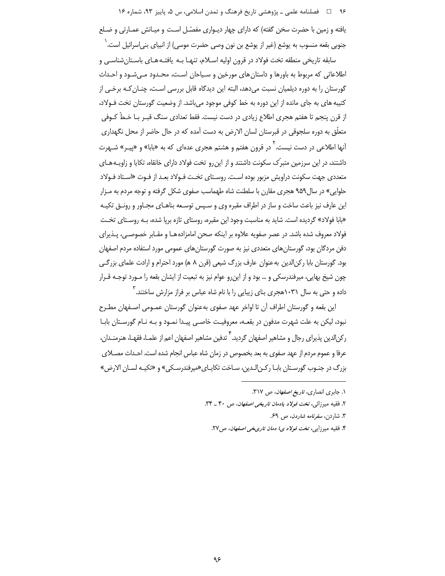۹۶ فصلنامه علمي ـ پژوهشي تاريخ فرهنگ و تمدن اسلامي، س ۵، پاييز ۹۳، شماره ۱۶

یافته و زمین با حضرت سخن گفته) که دارای چهار دیـواری مفصّل اسـت و میـانش عمـارتی و ضـلع جنوبي بقعه منسوب به يوشع (غير از يوشع بن نون وصي حضرت موسى) از انبياي بني|سرائيل است. ` سابقه تاریخی منطقه تخت فولاد در قرون اولیه اسـلام، تنهـا بـه یافتـه هـای باسـتانِشناسـی و

اطلاعاتی که مربوط به باورها و داستان های مورخین و سـیاحان اسـت، محـدود مــ شـود و احـداث گورستان را به دوره دیلمیان نسبت می دهد، البته این دیدگاه قابل بررسی اسـت، چنـان کـه برخـی از کتیبه های به جای مانده از این دوره به خط کوفی موجود میباشد. از وضعیت گورستان تخت فـولاد، از قرن پنجم تا هفتم هجری اطلاع زیادی در دست نیست. فقط تعدادی سنگ قبـر بـا خـطّ کـوفی متعلّق به دوره سلجوقی در قبرستان لسان الارض به دست آمده که در حال حاضر از محل نگهداری آنها اطلاعی در دست نیست. <sup>۲</sup> در قرون هفتم و هشتم هجری عدهای که به «بابا» و «پیـر» شـهرت داشتند، در این سرزمین متبرّک سکونت داشتند و از این٫رو تخت فولاد دارای خانقاه، تکایا و زاویـههـای متعددی جهت سکونت دراویش مزبور بوده اسـت. روسـتای تخـت فـولاد بعـد از فـوت «اسـتاد فـولاد حلوایی» در سال ۹۵۹ هجری مقارن با سلطنت شاه طهماسب صفوی شکل گرفته و توجه مردم به مـزار این عارف نیز باعث ساخت و ساز در اطراف مقبره وی و سـپس توسـعه بناهـای مجـاور و رونـق تکیـه «بابا فولاد» گردیده است. شاید به مناسبت وجود این مقبره، روستای تازه برپا شده، بـه روسـتای تخـت فولاد معروف شده باشد. در عصر صفويه علاوه بر اينكه صحن امامزاده هـا و مقـابر خصوصــ ،، يـذيراي دفن مردگان بود، گورستان های متعددی نیز به صورت گورستان های عمومی مورد استفاده مردم اصفهان بود. گورستان بابا رکن|لدین به عنوان عارف بزرگ شیعی (قرن ۸ ه) مورد احترام و ارادت علمای بزرگی چون شیخ بهایی، میرفندرسکی و … بود و از این٫رو عوام نیز به تبعیت از ایشان بقعه را مـورد توجـه قـرار داده و حتی به سال ۱۰۳۱هجری بنای زیبایی را با نام شاه عباس بر فراز مزارش ساختند.<sup>۳</sup>

این بقعه و گورستان اطراف آن تا اواخر عهد صفوی بهعنوان گورستان عمـومی اصـفهان مطـرح نبود، لیکن به علت شهرت مدفون در بقعـه، معروفیـت خاصـی پیـدا نمـود و بـه نـام گورسـتان بابـا رکن|لدین پذیرای رجال و مشاهیر اصفهان گردید. <sup>۴</sup> تدفین مشاهیر اصفهان اعم از علمـا**،** فقهـا، هنرمنـدان، عرفا و عموم مردم از عهد صفوی به بعد بخصوص در زمان شاه عباس انجام شده است. احـداث مصــلای بزرگ در جنـوب گورسـتان بابـا ركـن|لـدين، سـاخت تكايـاي «ميرفندرسـكي» و «تكيـه لسـان الارض»

۰. جابری انصاری، ت*اریخ اصفهان*، ص ۳۱۷.

۲. فقیه میرزائ<sub>ی</sub>، تخت *فولاد یادمان تاریخی اصفهان*، ص ۴۰ ـ ۳۴.

۳. شاردن، *سفرنامه شاردن*، ص ۶۹.

۴. فقیه میرزایی، تخت *فولاد ی! دمان تاریخی اصفهان*، ص۲۷.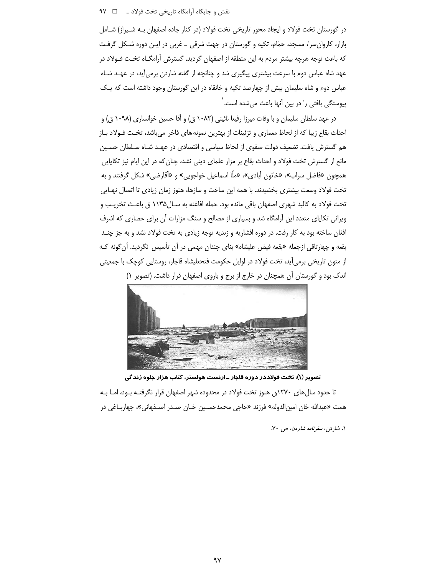در گورستان تخت فولاد و ایجاد محور تاریخی تخت فولاد (در کنار جاده اصفهان بـه شـیراز) شـامل بازار، کاروان سرا، مسجد، حمّام، تکیه و گورستان در جهت شرقی ـ غربی در ایـن دوره شـکل گرفـت كه باعث توجه هرچه بیشتر مردم به این منطقه از اصفهان گردید. گسترش آرامگـاه تخـت فـولاد در عهد شاه عباس دوم با سرعت بیشتری پیگیری شد و چنانچه از گفته شاردن برمی آید، در عهـد شـاه عباس دوم و شاه سلیمان بیش از چهارصد تکیه و خانقاه در این گورستان وجود داشته است که یـک پیوستگی بافتی را در بین آنها باعث میشده است.<sup>٬</sup>

در عهد سلطان سلیمان و با وفات میرزا رفیعا نائینی (۱۰۸۲ ق) و آقا حسین خوانساری (۱۰۹۸ ق) و احداث بقاع زیبا که از لحاظ معماری و تزئینات از بهترین نمونه های فاخر می باشد، تخت فـولاد بـاز هم گسترش یافت. تضعیف دولت صفوی از لحاظ سیاسی و اقتصادی در عهـد شـاه سـلطان حسـین مانع از گسترش تخت فولاد و احداث بقاع بر مزار علمای دینی نشد، چنان که در این ایام نیز تکایایی همچون «فاضل سراب»، «خاتون آبادی»، «ملّا اسماعیل خواجویی» و «آقارضی» شکل گرفتند و به تخت فولاد وسعت بیشتری بخشیدند. با همه این ساخت و سازها، هنوز زمان زیادی تا اتصال نهـایی تخت فولاد به كالبد شهري اصفهان باقي مانده بود. حمله افاغنه به سـال١١٣۵ ق باعـث تخريـب و ویرانی تکاپای متعدد این آرامگاه شد و بسیاری از مصالح و سنگ مزارات آن برای حصاری که اشرف افغان ساخته بود به کار رفت. در دوره افشاریه و زندیه توجه زیادی به تخت فولاد نشد و به جز چنـد بقعه و چهارتاقی ازجمله «بقعه فیض علیشاه» بنای چندان مهمی در آن تأسیس نگردید. آن گونه کـه از متون تاریخی برمی]ید، تخت فولاد در اوایل حکومت فتحعلیشاه قاجار، روستایی کوچک با جمعیتی اندک بود و گورستان آن همچنان در خارج از برج و باروی اصفهان قرار داشت. (تصویر ١)



تصویر (۱): تخت فولاددر دوره قاجار ـ ارنست هولستر، کتاب هزار جلوه زندگی تا حدود سال های ۱۲۷۰ق هنوز تخت فولاد در محدوده شهر اصفهان قرار نگرفتـه بـود، امـا بـه همت «عبدالله خان امین|لدوله» فرزند «حاجی محمدحسـین خـان صـدر اصـفهانی»، چهاربــاغی در

۰۱ شاردن، *سفرنامه شاردن*، ص ۷۰.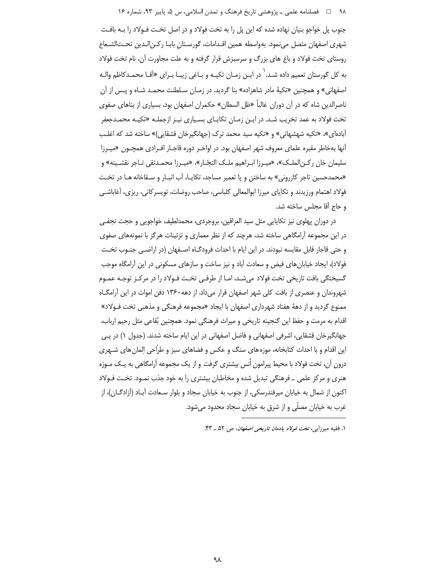۹۸ هـ المحملنامه علمي ـ پژوهشي تاريخ فرهنگ و تمدن اسلامي، س ۵، پاييز ۹۳، شماره ۱۶

جنوب پل خواجو بنیان نهاده شده که این پل را به تخت فولاد و در اصل تخـت فـولاد را بـه بافـت شهري اصفهان متصل مىنمود. بهواسطه همين اقـدامات، گورسـتان بابـا ركـن|لـدين تحــت|لشـعاع روستای تخت فولاد و باغ های بزرگ و سرسبزش قرار گرفته و به علت مجاورت آن، نام تخت فولاد به کل گورستان تعمیم داده شـد.<sup>'</sup> در ایـن زمـان تکیـه و بـاغی زیبـا بـرای «آقـا محمـدکاظم والـه اصفهانی» و همچنین «تکبهٔ مادر شاهزاده» بنا گردید. در زمـان سـلطنت محمـد شـاه و پـس از آن ناصرالدین شاه که در آن دوران غالباً «ظل السطان» حکمران اصفهان بود، بسیاری از بناهای صفوی تخت فولاد به عمد تخریب شد. در ایـن زمـان تکایـای بسـیاری نیـز ازجملـه «تکیـه محمـدجعفر آبادهای»، «تکیه شهشهانی» و «تکیه سید محمد ترک (جهانگیرخان قشقایی)» ساخته شد که اغلب آنها بهخاطر مقبره علمای معروف شهر اصفهان بود. در اواخـر دوره قاجـار افـرادی همچـون «میـرزا سليمان خان ركـن|لملـك»، «ميـرزا ابـراهيم ملـك التجّـار»، «ميـرزا محمـدتقى تـاجر نقشـينه» و «محمدحسین تاجر کازرونی» به ساختن و یا تعمیر مساجد، تکایـا، آب انبـار و سـقاخانه هـا در تخـت فولاد اهتمام ورزیدند و تکایای میرزا ابوالمعالی کلباسی، صاحب روضات، تویسر کانی، ریزی، آغاباشـی و حاج أقا مجلس ساخته شد.

در دوران پهلوی نیز تکاپایی مثل سید العراقین، بروجردی، محمدلطیف خواجویی و حجت نجفـی در این مجموعه آرامگاهی ساخته شد، هرچند که از نظر معماری و تزئینات هرگز با نمونههای صفوی و حتى قاجار قابل مقايسه نبودند. در اين ايام با احداث فرودگـاه اصـفهان (در اراضـي جنـوب تخـت فولاد)، ایجاد خیابانهای فیض و سعادت آباد و نیز ساخت و سازهای مسکونی در این آرامگاه موجب گسیختگی بافت تاریخی تخت فولاد میشد، امـا از طرفـی تخـت فـولاد را در مرکـز توجـه عمـوم شهروندان و عنصری از بافت کلی شهر اصفهان قرار میداد. از دهه۱۳۶۰ دفن اموات در این آرامگــاه ممنوع گردید و از دههٔ هفتاد شهرداری اصفهان با ایجاد «مجموعه فرهنگی و مذهبی تخت فـولاد» اقدام به مرمت و حفظ این گنجینه تاریخی و میراث فرهنگی نمود. همچنین بُقاعی مثل رحیم ارباب، جهانگیرخان قشقایی، اشرفی اصفهانی و فاضل اصفهانی در این ایام ساخته شدند. (جدول ۱) در پـی این اقدام و با احداث کتابخانه، موزههای سنگ و عکس و فضاهای سبز و طرّاحی اِلمان های شـهری درون آن، تخت فولاد با محیط پیرامون اُنس بیشتری گرفت و از یک مجموعه آرامگاهی به یـک مـوزه هنری و مرکز علمی ـ فرهنگی تبدیل شده و مخاطبان بیشتری را به خود جذب نمـود. تخـت فـولاد اکنون از شمال به خیابان میرفندرسکی، از جنوب به خیابان سجاد و بلوار سـعادت آبـاد (آزادگــان)، از غرب به خیابان مصلّی و از شرق به خیابان سجاد محدود میشود.

۱. فقیه میرزایی، تخت *فولاد یادمان تاریخی اصفهان*، ص ۵۲ \_ ۴۳.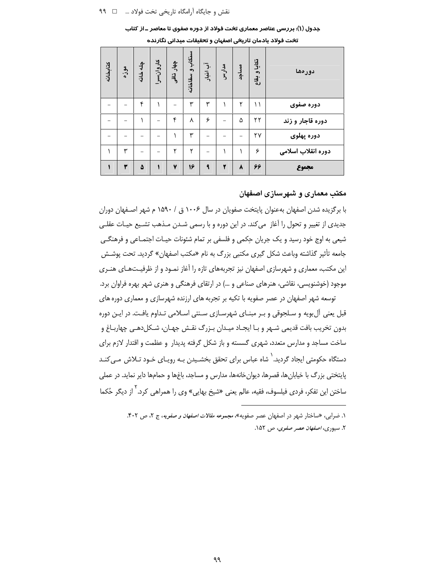| كتابخانه | موزه | چله خانه | كاروانسرا | چهار تاقی | سنكاب وسقاخانه | آب اننباد                | مدارس | مساجد | تكايا وبقاع | دورمها             |
|----------|------|----------|-----------|-----------|----------------|--------------------------|-------|-------|-------------|--------------------|
|          |      | ۴        |           | -         | ٣              | ٣                        |       | ۲     | ۱۱          | دوره صفوى          |
|          |      |          |           | ۴         | γ              | ۶                        |       | ۵     | ۲۲          | دوره قاجار و زند   |
|          |      |          |           |           | ۳              |                          |       |       | ۲۷          | دوره پهلوی         |
|          | ٣    | -        |           | ۲         | ۲              | $\overline{\phantom{0}}$ |       |       | ۶           | دوره انقلاب اسلامى |
|          | ٣    | ۵        |           | ٧         | 16             | $\mathbf{q}$             | ۲     | ٨     | 66          | مجموع              |

جدول (۱): بررسی عناصر معماری تخت فولاد از دوره صفوی تا معاصر ـ از کتاب تخت فولاد یادمان تاریخی اصفهان و تحقیقات میدانی نگارنده

#### مکتب معماری و شهرسازی اصفهان

با برگزیده شدن اصفهان بهعنوان پایتخت صفویان در سال ۱۰۰۶ ق / ۱۵۹۰ م شهر اصـفهان دوران جدیدی از تغییر و تحول را آغاز می کند. در این دوره و با رسمی شـدن مـذهب تشـیع حیـات عقلـی شیعی به اوج خود رسید و یک جریان حِکمی و فلسفی بر تمام شئونات حیـات اجتمـاعی و فرهنگـی جامعه تأثیر گذاشته وباعث شکل گیری مکتبی بزرگ به نام «مکتب اصفهان» گردید. تحت پوشـش این مکتب، معماری و شهرسازی اصفهان نیز تجربههای تازه را آغاز نمـود و از ظرفیـتهـای هنـری موجود (خوشنویسی، نقاشی، هنرهای صناعی و …) در ارتقای فرهنگی و هنری شهر بهره فراوان برد.

توسعه شهر اصفهان در عصر صفویه با تکیه بر تجربه های ارزنده شهرسازی و معماری دوره های قبل یعنی آل بویه و سـلجوقی و بـر مبنـای شهرسـازی سـنتی اسـلامی تـداوم یافـت. در ایـن دوره بدون تخريب بافت قديمي شـهر و بـا ايجـاد ميـدان بـزرگ نقـش جهـان، شـكلدهـي چهاربـاغ و ساخت مساجد و مدارس متعدد، شهری گسسته و باز شکل گرفته پدیدار و عظمت و اقتدار لازم برای دستگاه حکومتی ایجاد گردید.<sup>٬</sup> شاه عباس برای تحقق بخشـیدن بـه رویـای خـود تـلاش مـی *کنـ*د پایتختی بزرگ با خیابانها، قصرها، دیوانخانهها، مدارس و مساجد، باغها و حمامها دایر نماید. در عملی ساختن این تفکر، فردی فیلسوف، فقیه، عالم یعنی «شیخ بهایی» وی را همراهی کرد.<sup>۲</sup> از دیگر حُکما

۱. ضرابی، «ساختار شهر در اصفهان عصر صفویه»، *مجموعه مقالات اصفهان و صفویه*، ج ۲، ص ۴۰۲. ۲. سیوری، *اصفهان عصر صفوی*، ص ۱۵۲.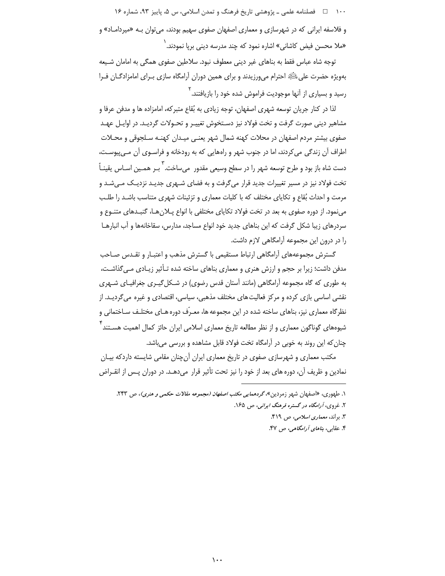۱۰۰  $\Box$  فصلنامه علمی ـ پژوهشی تاریخ فرهنگ و تمدن اسلامی، س ۵، پاییز ۹۳، شماره ۱۶ و فلاسفه ایرانی که در شهرسازی و معماری اصفهان صفوی سهیم بودند، می توان بـه «میردامـاد» و «ملا محسن فیض کاشانی» اشاره نمود که چند مدرسه دینی برپا نمودند. <sup>(</sup>

توجه شاه عباس فقط به بناهای غیر دینی معطوف نبود. سلاطین صفوی همگی به امامان شـیعه بهویژه حضرت علیﷺ احترام میeرزیدند و برای همین دوران آرامگاه سازی بـرای امامزادگـان فـرا رسید و بسیاری از آنها موجودیت فراموش شده خود را بازیافتند.<sup>۲</sup>

لذا در كنار جريان توسعه شهري اصفهان، توجه زيادي به بُقاع متبركه، امامزاده ها و مدفن عرفا و مشاهیر دینی صورت گرفت و تخت فولاد نیز دسـتخوش تغییـر و تحـولات گردیـد. در اوایـل عهـد صفوی بیشتر مردم اصفهان در محلات کهنه شمال شهر بعنبی میـدان کهنـه سـلحوقی و محـلات اطراف آن زندگی می کردند، اما در جنوب شهر و راههایی که به رودخانه و فراسـوی آن مـی،پیوسـت، دست شاه باز بود و طرح توسعه شهر را در سطح وسیعی مقدور ًمیساخت. ۖ بـر همـین اسـاس یقینـاً ۖ تخت فولاد نیز در مسیر تغییرات جدید قرار میگرفت و به فضای شـهری جدیـد نزدیـک مـیشـد و مرمت و احداث بُقاع و تکایای مختلف که با کلیات معماری و تزئینات شهری متناسب باشـد را طلـب می نمود. از دوره صفوی به بعد در تخت فولاد تکاپای مختلفی با انواع پـلان هـا، گنبـدهای متنـوع و سردرهای زیبا شکل گرفت که این بناهای جدید خود انواع مساجد، مدارس، سقاخانهها و آب انبارهـا را در درون این مجموعه آرامگاهی لازم داشت.

گسترش مجموعههای آرامگاهی ارتباط مستقیمی با گسترش مذهب و اعتبـار و تقـدس صـاحب مدفن داشت؛ زیرا بر حجم و ارزش هنری و معماری بناهای ساخته شده تـأثیر زیـادی مـیگذاشـت، به طوری که گاه مجموعه آرامگاهی (مانند آستان قدس رضوی) در شـکل گیـری جغرافیـای شـهری نقشی اساسی بازی کرده و مرکز فعالیت های مختلف مذهبی، سیاسی، اقتصادی و غیره می گردیـد. از نظرگاه معماری نیز، بناهای ساخته شده در این مجموعه ها، معـرّف دوره هـای مختلـف سـاختمانی و شیوههای گوناگون معماری و از نظر مطالعه تاریخ معماری اسلامی ایران حائز کمال اهمیت هسـتند <sup>'</sup> چنان که این روند به خوبی در آرامگاه تخت فولاد قابل مشاهده و بررسی می باشد.

مکتب معماری و شهرسازی صفوی در تاریخ معماری ایران آنچنان مقامی شایسته داردکه بیـان نمادین و ظریف آن، دوره های بعد از خود را نیز تحت تأثیر قرار میدهـد. در دوران پـس از انقـراض

۱. طهوری، «اصفهان شهر زمردین»، گردهم*ایی مکتب اصفهان (مجموعه مقالات حکمی و هنری)*، ص ۲۴۳. ۲. غروی، آرامگاه در گستره فرهنگ ایرانی، ص ۱۶۵. ٣. براند، *معماری اسلامی،* ص ۴۱۹. ۴. عقابی، *بناهای آرامگاهی، ص ۴۷*.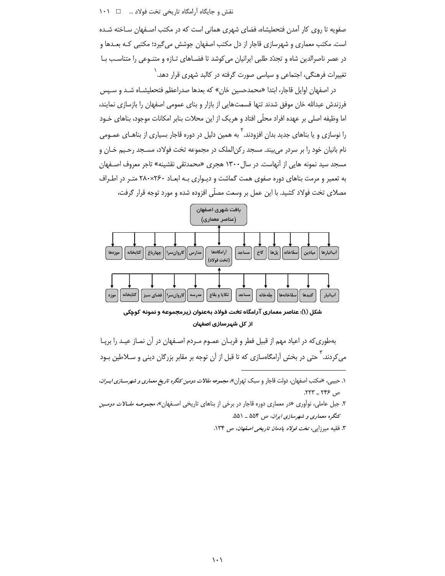### نقش و جایگاه آرامگاه تاریخی تخت فولاد ... □ 1٠١

صفویه تا روی کار آمدن فتحعلیشاه، فضای شهری همانی است که در مکتب اصـفهان سـاخته شـده است. مکتب معماری و شهرسازی قاجار از دل مکتب اصفهان جوشش میگیرد؛ مکتبی کـه بعـدها و در عصر ناصرالدین شاه و تجدّد طلبی ایرانیان می کوشد تا فضـاهای تـازه و متنـوعی را متناسـب بـا تغییرات فرهنگی، اجتماعی و سیاسی صورت گرفته در کالبد شهری قرار دهد.<sup>\</sup>

در اصفهان اوایل قاجار، ابتدا «محمدحسین خان» که بعدها صدراعظم فتحعلیشـاه شـد و سـیس فرزندش عبدالله خان موفق شدند تنها قسمتهایی از بازار و بنای عمومی اصفهان را بازسازی نمایند، اما وظیفه اصلی بر عهده افراد محلّی افتاد و هریک از این محلات بنابر امکانات موجود، بناهای خــود را نوسازی و یا بناهای جدید بدان افزودند. <sup>۲</sup> به همین دلیل در دوره قاجار بسیاری از بناهـای عمـومی نام بانیان خود را بر سردر میبیند. مسجد رکن|لملک در مجموعه تخت فولاد، مسـجد رحـیم خـان و مسجد سید نمونه هایی از آنهاست. در سال ۱۳۰۰ هجری «محمدتقی نقشینه» تاجر معروف اصـفهان به تعمیر و مرمت بناهای دوره صفوی همت گماشت و دیواری بـه ابعـاد ۲۸۰×۲۲۰ متـر در اطـراف مصلای تخت فولاد کشید. با این عمل بر وسعت مصلّی افزوده شده و مورد توجه قرار گرفت،



شکل (۱): عناصر معماری آرامگاه تخت فولاد بهعنوان زیرمجموعه و نمونه کوچکی از کل شہرسازی اصفہان

بهطوری که در اعیاد مهم از قبیل فطر و قربـان عمـوم مـردم اصـفهان در آن نمـاز عیـد را برپـا می کردند. <sup>۳</sup> حتی در بخش آرامگاهسازی که تا قبل از آن توجه بر مقابر بزرگان دینی و سـلاطین بـود

- ۱. حبیبی <sub>،</sub>، «مکتب اصفهان، دولت قاجار و سبک تهران»، *مجموعه مقالات دومین کنگره تاریخ معماری و شهرســازی ایــران*، ص ۲۴۶ \_ ۲۲۳.
- ۲. جبل عاملی، نوآوری «در معماری دوره قاجار در برخی از بناهای تاریخی اصـفهان»، *مجموعــه مقــالات دومــین* کنگره معماری و شهرسازی ایران، ص ۵۵۴ \_ ۵۵۱.
	- ۳. فقیه میرزایی، تخت *فولاد یادمان تاریخی اصفهان*، ص ۱۳۴.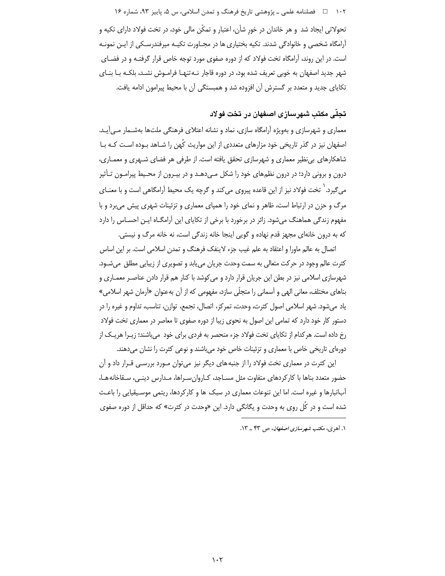۱۰۲ □ فصلنامه علمي ـ پژوهشي تاريخ فرهنگ و تمدن اسلامي، س ۵، پاييز ۹۳، شماره ۱۶ تحولاتی ایجاد شد و هر خاندان در خور شأن، اعتبار و تمکّن مالی خود، در تخت فولاد دارای تکیه و آرامگاه شخصی و خانوادگی شدند. تکیه بختیاری ها در مجـاورت تکیـه میرفندرسـکی از ایـن نمونـه است. در این روند، آرامگاه تخت فولاد که از دوره صفوی مورد توجه خاص قرار گرفتـه و در فضـای شهر جدید اصفهان به خوبی تعریف شده بود، در دوره قاجار نـه تنهـا فرامـوش نشـد، بلکـه بـا بنـای تکایای جدید و متعدد بر گسترش آن افزوده شد و همبستگی آن با محیط پیرامون ادامه یافت.

# تحلَّى مكتب شهرسازي اصفهان در تخت فولاد

معماری و شهرسازی و بهویژه آرامگاه سازی، نماد و نشانه اعتلای فرهنگی ملتها بهشـمار مـی آیـد. اصفهان نیز در گذر تاریخی خود مزارهای متعددی از این مواریث کُهن را شـاهد بـوده اسـت کـه بـا شاهکارهای بی نظیر معماری و شهرسازی تحقق یافته است. از طرفی هر فضای شـهری و معمـاری، درون و برونی دارد؛ در درون نظمهای خود را شکل مـیدهـد و در بیـرون از محـیط پیرامـون تـأثیر می گیرد. ٰ تخت فولاد نیز از این قاعده پیروی می کند و گرچه یک محیط آرامگاهی است و با معنـای مرگ و حزن در ارتباط است، ظاهر و نمای خود را همپای معماری و تزئینات شهری پیش میبرد و با مفهوم زندگی هماهنگ میشود. زائر در برخورد با برخی از تکایای این آرامگـاه ایـن احسـاس را دارد که به درون خانهای مجهز قدم نهاده و گویی اینجا خانه زندگی است، نه خانه مرگ و نیستی.

اتصال به عالم ماورا و اعتقاد به علم غيب جزء لاينفک فرهنگ و تمدن اسلامي است. بر اين اساس کثرت عالم وجود در حرکت متعالی به سمت وحدت جریان می یابد و تصویری از زیبایی مطلق میشـود. شهرسازی اسلامی نیز در بطن این جریان قرار دارد و می کوشد با کنار هم قرار دادن عناصـر معمـاری و بناهای مختلف، معانی الهی و آسمانی را متجلّی سازد، مفهومی که از آن بهعنوان «آرمان شهر اسلامی» ياد مي شود. شهر اسلامي اصول كثرت، وحدت، تمركز، اتصال، تجمع، توازن، تناسب، تداوم و غيره را در دستور کار خود دارد که تمامی این اصول به نحوی زیبا از دوره صفوی تا معاصر در معماری تخت فولاد رخ داده است. هر کدام از تکایای تخت فولاد جزء منحصر به فردی برای خود میباشند؛ زیـرا هریـک از دورهای تاریخی خاص با معماری و تزئینات خاص خود میباشند و نوعی کثرت را نشان می دهند.

این کثرت در معماری تخت فولاد را از جنبه های دیگر نیز میتوان مـورد بررسـی قـرار داد و آن حضور متعدد بناها با کار کردهای متفاوت مثل مسـاجد، کـاروان سـراها، مـدارس دینـی، سـقاخانههـا، آبانبارها و غیره است. اما این تنوعات معماری در سبک ها و کارکردها، ریتمی موسیقیایی را باعث شده است و در کُل روی به وحدت و یگانگی دارد. این «وحدت در کثرت» که حداقل از دوره صفوی

١. اهرى، مكتب شهرسازى اصفهان، ص ۴۳ \_ ١٣.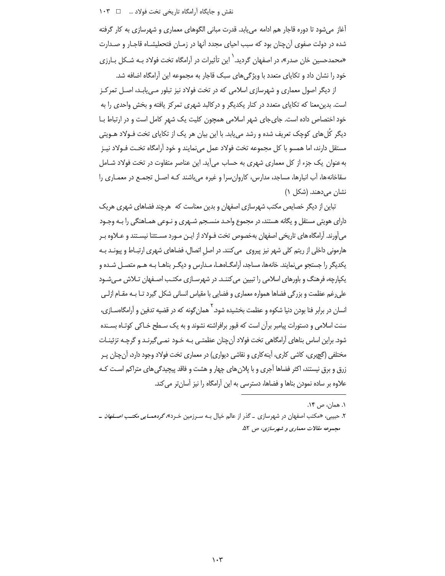آغاز میشود تا دوره قاجار هم ادامه می بابد. قدرت مبانی الگوهای معماری و شهرسازی به کار گرفته شده در دولت صفوی آنچنان بود که سبب احیای مجدد آنها در زمـان فتحعلیشـاه قاجـار و صـدارت «محمدحسین خان صدر»، در اصفهان گردید.<sup>`</sup> این تأثیرات در آرامگاه تخت فولاد بـه شـکل بـارزی خود را نشان داد و تکایای متعدد با ویژگیهای سبک قاجار به مجموعه این آرامگاه اضافه شد.

از دیگر اصول معماری و شهرسازی اسلامی که در تخت فولاد نیز تبلور مے پابـد، اصـل تمرکـز است. بدین معنا که تکاپای متعدد در کنار یکدیگر و در کالبد شهری تمرکز یافته و بخش واحدی را به خود اختصاص داده است. جای جای شهر اسلامی همچون کلیت یک شهر کامل است و در ارتباط بـا دیگر کُل های کوچک تعریف شده و رشد می بابد. با این بیان هر یک از تکاپای تخت فـولاد هـویتی مستقل دارند، اما همسو با کل مجموعه تخت فولاد عمل می نمایند و خود آرامگاه تخت فـولاد نیـز به عنوان یک جزء از کل معماری شهری به حساب می آید. این عناصر متفاوت در تخت فولاد شـامل سقاخانهها، آب انبارها، مساجد، مدارس، کاروان سرا و غیره می باشند کـه اصـل تجمـع در معمـاری را نشان می دهند. (شکل ۱)

تباین از دیگر خصایص مکتب شهرسازی اصفهان و بدین معناست که هرچند فضاهای شهری هریک دارای هویتی مستقل و یگانه هستند، در مجموع واحـد منســجم شــهری و نـوعی همـاهنگی را بـه وجـود میآورند. آرامگاه های تاریخی اصفهان بهخصوص تخت فـولاد از ایـن مـورد مسـتثنا نیسـتند و عـلاوه بـر هارمونی داخلی از ریتم کلی شهر نیز پیروی ِ میکنند. در اصل اتصال، فضاهای شهری ارتبـاط و پیونـد بـه یکدیگر را جستجو می نمایند. خانهها، مساجد، آرامگــاههــا، مــدارس و دیگــر بناهــا بــه هــم متصــل شــده و یکپارچه، فرهنگ و باورهای اسلامی را تبیین می کننـد. در شهرسـازی مکتـب اصـفهان تـلاش مـیشـود علی رغم عظمت و بزرگی فضاها همواره معماری و فضایی با مقیاس انسانی شکل گیرد تـا بـه مقـام ازلـی انسان در برابر فنا بودن دنیا شکوه و عظمت بخشیده شود. ` همان گونه که در قضیه تدفین و آرامگاهسـازی، سنت اسلامی و دستورات پیامبر برآن است که قبور برافراشته نشوند و به یک سـطح خـاکی کوتـاه بسـنده شود. براین اساس بناهای آرامگاهی تخت فولاد آن چنان عظمتـی بـه خـود نمـی گیرنـد و گرچـه تزئینـات مختلفی (گچبری، کاشی کاری، آینهکاری و نقاشی دیواری) در معماری تخت فولاد وجود دارد، آن چنان پـر زرق و برق نیستند، اکثر فضاها اَجری و با پلان های چهار و هشت و فاقد پیچیدگی های متراکم اسـت کـه علاوه بر ساده نمودن بناها و فضاها، دسترسی به این آرامگاه را نیز آسان تر می کند.

١. همان، ص ١۴.

۲. حبیبی، «مکتب اصفهان در شهرسازی \_ گذر از عالم خیال بـه سـرزمین خـرد»، *گردهمـایی مکتـب اصـفهان* \_ مجموعه مقالات معماری و شهرسازی، ص ۵۲.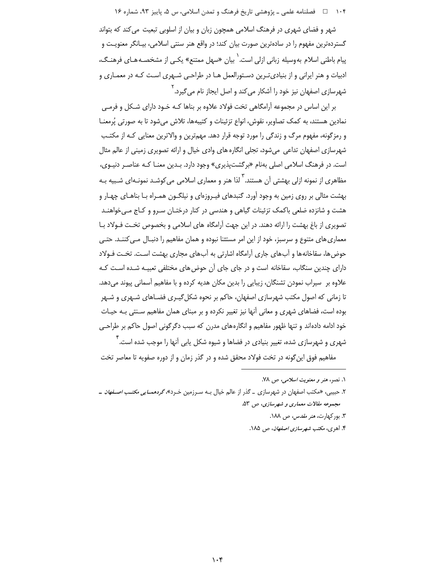۱۰۴ = فصلنامه علمي ـ پژوهشي تاريخ فرهنگ و تمدن اسلامي، س ۵، پاييز ۹۳، شماره ۱۶

شهر و فضای شهری در فرهنگ اسلامی همچون زبان و بیان از اسلوبی تبعیت میکند که بتواند گستردهترین مفهوم را در سادهترین صورت بیان کند؛ در واقع هنر سنتی اسلامی، بیـانگر معنویـت و پیام باطنی اسلام بهوسیله زبانی ازلی است.<sup>\</sup> بیان «سهل ممتنع» یکـی از مشخصـههـای فرهنـگ، ادبیات و هنر ایرانی و از بنیادی تـرین دسـتورالعمل هـا در طراحـی شـهری اسـت کـه در معمـاری و شهرسازی اصفهان نیز خود را آشکار میکند و اصل ایجاز نام می $^{\mathsf{y}}$ یرد.

بر این اساس در مجموعه آرامگاهی تخت فولاد علاوه بر بناها کـه خـود دارای شـکل و فرمـی نمادین هستند، به کمک تصاویر، نقوش، انواع تزئینات و کتیبهها، تلاش میشود تا به صورتی پُرمعنـا و رمزگونه، مفهوم مرگ و زندگی را مورد توجه قرار دهد. مهمترین و والاترین معنایی کـه از مکتـب شهرسازی اصفهان تداعی میشود، تجلی انگاره های وادی خیال و ارائه تصویری زمینی از عالم مثال است. در فرهنگ اسلامی اصلی بهنام «برگشتپذیری» وجود دارد. بـدین معنـا کـه عناصـر دنیـوی، مظاهری از نمونه ازلی بهشتی آن هستند. <sup>۳</sup> لذا هنر و معماری اسلامی می *ک*وشـد نمونـهای شـبیه بـه بهشت مثالی بر روی زمین به وجود آورد. گنبدهای فیـروزهای و نیلگـون همـراه بـا بناهـای چهـار و هشت و شانزده ضلعی باکمک تزئینات گیاهی و هندسی در کنار درختـان سـرو و کـاج مـیخواهنـد تصویری از باغ بهشت را ارائه دهند. در این جهت آرامگاه های اسلامی و بخصوص تخت فـولاد بـا معماری های متنوع و سرسبز، خود از این امر مستثنا نبوده و همان مفاهیم را دنبـال مـی کننـد. حتـی حوض ها، سقاخانهها و آب های جاری آرامگاه اشارتی به آب های مجاری بهشت است. تخت فـولاد دارای چندین سنگاب، سقاخانه است و در جای جای آن حوض های مختلفی تعبیـه شـده اسـت کـه علاوه بر سیراب نمودن تشنگان، زیبایی را بدین مکان هدیه کرده و با مفاهیم آسمانی پیوند میدهد. تا زمانی که اصول مکتب شهرسازی اصفهان، حاکم بر نحوه شکل گیـری فضـاهای شـهری و شـهر بوده است، فضاهای شهری و معانی آنها نیز تغییر نکرده و بر مبنای همان مفاهیم سـنتی بـه حیـات خود ادامه دادهاند و تنها ظهور مفاهیم و انگارههای مدرن که سبب دگرگونی اصول حاکم بر طراحـی شهری و شهرسازی شده، تغییر بنیادی در فضاها و شیوه شکل یابی آنها را موجب شده است.<sup>۴</sup>

مفاهیم فوق این گونه در تخت فولاد محقق شده و در گذر زمان و از دوره صفویه تا معاصر تخت

۱. نصر، هنر و معنویت *اسلامی، ص ۷*۸.

۲. حبیبی، «مکتب اصفهان در شهرسازی \_ گذر از عالم خیال بـه سـرزمین خـرد»، *گردهمـایی مکتـب اصـفهان* \_ مجموعه مقالات معماری و شهرسازی، ص ۵۳.

۳. بورکھارت، *هنر مقدس، ص ۱۸۸*.

۴. اهری، مکتب *شهرسازی اصفهان*، ص ۱۸۵.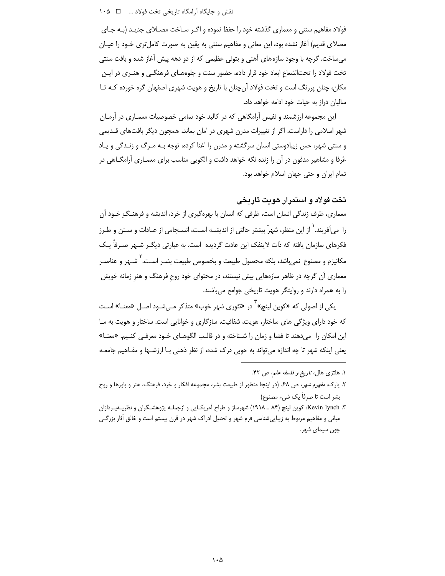فولاد مفاهیم سنتی و معماری گذشته خود را حفظ نموده و اگـر سـاخت مصـلای جدیـد (بـه جـای مصلای قدیم) آغاز نشده بود، این معانی و مفاهیم سنتی به یقین به صورت کاملتری خـود را عیـان می ساخت. گرچه با وجود سازههای آهنی و بتونی عظیمی که از دو دهه پیش آغاز شده و بافت سنتی تخت فولاد را تحتالشعاع ابعاد خود قرار داده، حضور سنت و جلوههـای فرهنگـی و هنـری در ایـن مکان، چنان پررنگ است و تخت فولاد آنچنان با تاریخ و هویت شهری اصفهان گره خورده کـه تـا ساليان دراز به حيات خود ادامه خواهد داد.

این مجموعه ارزشمند و نفیس آرامگاهی که در کالبد خود تمامی خصوصیات معمـاری در آرمـان شهر اسلامی را داراست، اگر از تغییرات مدرن شهری در امان بماند، همچون دیگر بافتهای قــدیمی و سنتي شهر، حس زيبادوستي انسان سرگشته و مدن را اغنا كرده، توجه بـه مـرگ و زنـدگي و پـاد عُرفا و مشاهیر مدفون در آن را زنده نگه خواهد داشت و الگویی مناسب برای معمـاری آرامگــاهی در تمام ایران و حتی جهان اسلام خواهد بود.

# تخت فولاد و استمرار هویت تاریخی

معماری، ظرف زندگی انسان است، ظرفی که انسان با بهرهگیری از خرد، اندیشه و فرهنـگ ِ خـود آن را ً می آفریند. ٰ از این منظر، شهرْ بیشتر حالتی از اندیشـه اسـت، انسـجامی از عــادات و ســنن و طـرز فكرهاي سازمان يافته كه ذات لاينفک اين عادت گرديده است. به عبارتي ديگـر شــهر صـرفاً يــک مكانيزم و مصنوع نمي باشد، بلكه محصول طبيعت و بخصوص طبيعت بشـر اسـت. `شـهر و عناصـر معماری آن گرچه در ظاهر سازههایی بیش نیستند، در محتوای خود روح فرهنگ و هنر زمانه خویش را به همراه دارند و روایتگر هویت تاریخی جوامع می باشند.

یکی از اصولی که «کوین لینچ»<sup>۲</sup> در «تئوری شهر خوب» متذکر مـیشـود اصـل «معنــا» اسـت که خود دارای ویژگی های ساختار، هویت، شفافیت، سازگاری و خوانایی است. ساختار و هویت به مـا این امکان را میدهند تا فضا و زمان را شـناخته و در قالـب الگوهـای خـود معرفـی کنـیم. «معنـا» یعنی اینکه شهر تا چه اندازه می تواند به خوبی درک شده، از نظر ذهنی بـا ارزشـها و مفـاهیم جامعـه

۱. هلتزی هال، *تاریخ و فلسفه علم*، ص ۴۲.

۲. پارک، *مفهوم شهر، ص ۶*۸. (در اینجا منظور از طبیعت بشر، مجموعه افکار و خرد، فرهنگ، هنر و باورها و روح بشر است تا صرفاً یک شیء مصنوع)

۳. Kevin lynch: کوین لینچ (۸۴ ـ ۱۹۱۸) شهرساز و طراح آمریک]یی و ازجملـه پژوهشـگران و نظریــهپـردازان مبانی و مفاهیم مربوط به زیباییشناسی فرم شهر و تحلیل ادراک شهر در قرن بیستم است و خالق آثار بزرگـی چون سیمای شهر.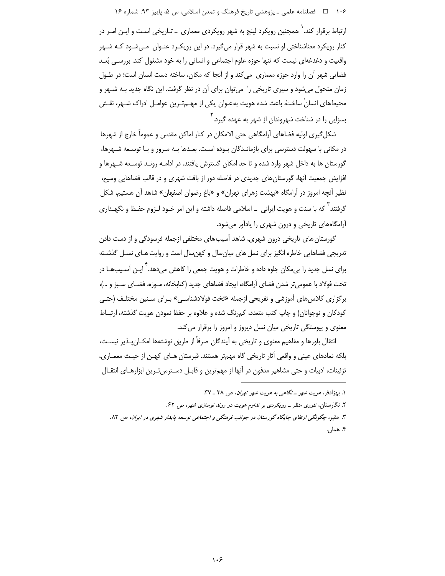۱۰۶ هـ المصلنامه علمي ـ پژوهشي تاريخ فرهنگ و تمدن اسلامي، س ۵، پاييز ۹۳، شماره ۱۶

ارتباط برقرار کند.<sup>\</sup> همچنین رویکرد لینچ به شهر رویکردی معماری \_ تـاریخی اسـت و ایـن امـر در کنار رویکرد معناشناختی او نسبت به شهر قرار میگیرد. در این رویک رد عنـوان مـیشـود کـه شـهر واقعیت و دغدغهای نیست که تنها حوزه علوم اجتماعی و انسانی را به خود مشغول کند. بررسـی بُعـد فضایی شهر آن را وارد حوزه معماری ً می کند و از آنجا که مکان، ساخته دست انسان است؛ در طـول زمان متحول می شود و سیری تاریخی را ً می توان برای آن در نظر گرفت. این نگاه جدید بـه شـهر و محیطهای انسانْ ساختْ، باعث شده هویت بهعنوان یکی از مهــمتـرین عوامــل ادراک شــهر، نقـش بسزایی را در شناخت شهروندان از شهر به عهده گیرد.<sup>۲</sup>

شکل گیری اولیه فضاهای آرامگاهی حتی الامکان در کنار اماکن مقدس و عموماً خارج از شهرها در مکانی با سهولت دسترسی برای بازمانـدگان بـوده اسـت. بعـدها بـه مـرور و بـا توسـعه شـهرها، گورستان ها به داخل شهر وارد شده و تا حد امکان گسترش یافتند. در ادامـه رونـد توسـعه شـهرها و افزایش جمعیت آنها، گورستانهای جدیدی در فاصله دور از بافت شهری و در قالب فضاهایی وسیع، نظیر آنچه امروز در آرامگاه «بهشت زهرای تهران» و «باغ رضوان اصفهان» شاهد آن هستیم، شکل گرفتند<sup>۳</sup> که با سنت و هویت ایرانی \_ اسلامی فاصله داشته و این امر خـود لـزوم حفـظ و نگهـداری آرامگاههای تاریخی و درون شهری را یادآور میشود.

گورستان های تاریخی درون شهری، شاهد آسیب های مختلفی ازجمله فرسودگی و از دست دادن تدریجی فضاهایی خاطره انگیز برای نسل های میان سال و کهن سال است و روایت هـای نسـل گذشـته برای نسل جدید را بے مکان جلوہ دادہ و خاطرات و ھوپت جمعی را کاھش مے دھد. <sup>۲</sup>ایـن آسـیبھـا در تخت فولاد با عمومي تر شدن فضاي آرامگاه، ايجاد فضاهاي جديد (كتابخانه، مـوزه، فضـاي سـبز و …)، برگزاری کلاس های آموزشی و تفریحی ازجمله «تخت فولادشناسی» بـرای سـنین مختلـف (حتـی کودکان و نوجوانان) و چاپ کتب متعدد، کمرنگ شده و علاوه بر حفظ نمودن هویت گذشته، ارتبـاط معنوی و پیوستگی تاریخی میان نسل دیروز و امروز را برقرار می کند.

انتقال باورها و مفاهیم معنوی و تاریخی به آیندگان صرفاً از طریق نوشتهها امکـان پــذیر نیسـت، بلکه نمادهای عینی و واقعی آثار تاریخی گاه مهمتر هستند. قبرستان هـای کهـن از حیـث معمـاری، تزئينات، ادبيات و حتى مشاهير مدفون در آنها از مهمترين و قابـل دسـترس تـرين ابزارهـاي انتقـال

۱. بهزادفر، *هویت شهر ـ نگاهی به هویت شهر تهران*، ص ۳۸ ـ ۳۷.

۲. نگارستان، تئوری منظر ــ رویکردی بر تداوم هویت در روند نوسازی شهر، ص ۶۲.

۳. حقیر، چگونگی ارتفای جایگاه گورستان در جوانب فرهنگی و اجتماعی توسعه پایدار شهری در ایران، ص ۸۳. ۴. همان.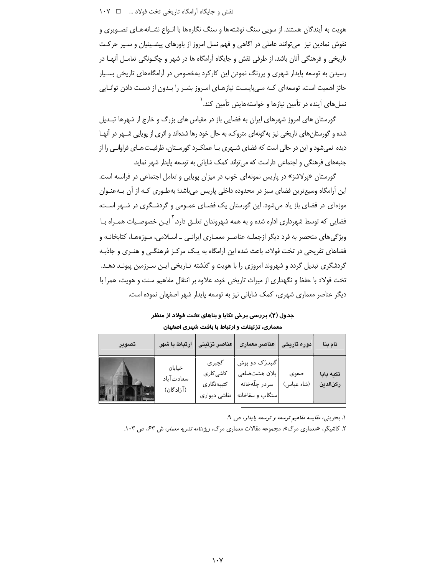نقش و جایگاه آرامگاه تاریخی تخت فولاد … \_ \_ ۱۰۷

هویت به آیندگان هستند. از سویی سنگ نوشتهها و سنگ نگارهها با انـواع نشـانههـای تصـویری و نقوش نمادین نیز میتوانند عاملی در آگاهی و فهم نسل امروز از باورهای پیشـینیان و سـیر حرکـت تاریخی و فرهنگی آنان باشد. از طرفی نقش و جایگاه آرامگاه ها در شهر و چگــونگی تعامــل آنهــا در رسیدن به توسعه پایدار شهری و پررنگ نمودن این کارکرد بهخصوص در آرامگاههای تاریخی بسـیار حائز اهمیت است، توسعهای کـه مـیLبایسـت نیازهـای امـروز بشـر را بـدون از دسـت دادن توانـایی نسلهای آینده در تأمین نیازها و خواستههایش تأمین کند.<sup>\</sup>

گورستان های امروز شهرهای ایران به فضایی باز در مقیاس های بزرگ و خارج از شهرها تبـدیل شده و گورستان های تاریخی نیز به گونهای متروک، به حال خود رها شدهاند و اثری از پویایی شـهر در آنهـا دیده نمیشود و این در حالی است که فضای شـهری بـا عملکـرد گورسـتان، ظرفیـت هـای فراوانـی را از جنبههای فرهنگی و اجتماعی داراست که می تواند کمک شایانی به توسعه پایدار شهر نماید.

گورستان «پرلاشز» در پاریس نمونه ای خوب در میزان پویایی و تعامل اجتماعی در فرانسه است. این آرامگاه وسیعترین فضای سبز در محدوده داخلی پاریس میباشد؛ بهطـوری کـه از آن بـهعنـوان موزهای در فضای باز یاد میشود. این گورستان یک فضـای عمـومی و گردشـگری در شـهر اسـت، فضایی که توسط شهرداری اداره شده و به همه شهروندان تعلـق دارد. <sup>۲</sup> ایـن خصوصـیات همـراه بـا ویژگی های منحصر به فرد دیگر ازجملـه عناصـر معمـاری ایرانـی ـ اسـلامی، مـوزههـا، کتابخانـه و فضاهای تفریحی در تخت فولاد، باعث شده این آرامگاه به یـک مرکـز فرهنگـی و هنـری و جاذبـه گردشگری تبدیل گردد و شهروند امروزی را با هویت و گذشته تـاریخی ایـن سـرزمین پیونـد دهـد. تخت فولاد با حفظ و نگهداری از میراث تاریخی خود، علاوه بر انتقال مفاهیم سنت و هویت، همرا با دیگر عناصر معماری شهری، کمک شایانی نیز به توسعه پایدار شهر اصفهان نموده است.

> جدول (۲): بررسی برخی تکایا و بناهای تخت فولاد از منظر معماری، تزئینات و ارتباط با بافت شہری اصفہان

| تصوير | ارتباط با شهر                     | عناصر تزئينى                                      | عناصر معمارى                                                       | دوره تاریخی        | نام بنا               |
|-------|-----------------------------------|---------------------------------------------------|--------------------------------------------------------------------|--------------------|-----------------------|
|       | خيابان<br>سعادت آباد<br>(آزادگان) | گچبری<br>کاشی کار ی<br>كتيبهنگارى<br>نقاشى ديوارى | گنبدرٌک دو پوش<br>پلان هشتضلعی<br>سردر چلّەخانە<br>سنگاب و سقاخانه | صفوى<br>(شاه عباس) | تكيه بابا<br>ركنالدين |

١. بحريني، مقايسه مفاهيم توسعه و توسعه پايدار، ص ٩.

۲. کاشیگر، «معماری مرگ»، مجموعه مقالات معماری مرگ، *ویژهنامه نشریه معمار*، ش ۶۳، ص ۱۰۳.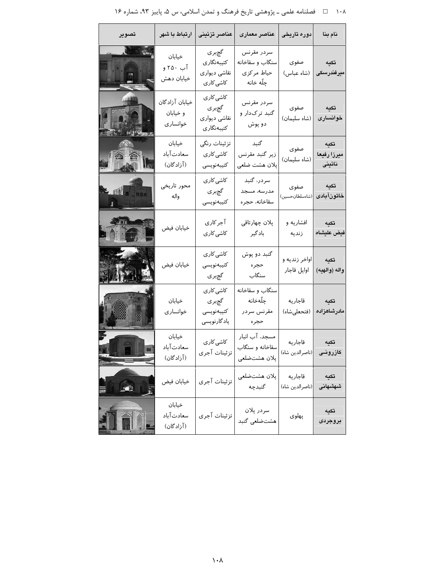| عناصر معماری | عناصر تزئينى | ارتباط با شهر دوره تاریخی نام بنا تصوير گچبر ی سردر مقرنس خيابان كتيبەنگارى سنگاب و سقاخانه صفوى تكىه آب ۲۵۰ و نقاشى ديوارى حياط مركزى (شاه عباس) میرفندرسکی خيابان دهش ڃلّه خانه کاشی کار ی کاشی کاری خيابان آزادگان سردر مقرنس صفوى تكيه گچبری گنبد ترکدار و و خيابان نقاشى ديوارى (شاه سليمان) خوانسارى خوانسارى دو پوش كتيبەنگارى تزئينات رنگى خيابان گنبد تكيه صفوى سعادت آباد کاشی کار ی زیر گنبد مقرنس ميرزا رفيعا (شاه سليمان) (آزادگان) نائينى پلان هشت ضلعي كتيبەنويسى کاشی کار ی سردر، گنبد محور تاريخى تكىه صفوى 印 مدرسه، مسجد گچبری واله (شاەسلطانحس<mark>ین</mark>) خاتون آبادى كتيبەنويسى سقاخانه، حجره آجر کاری يلان چهارتاقى افشاریه و تكىه خيابان فيض فيض عليشاه کاشی کاری بادگیر زنديه کاشی کار ی گنبد دو پوش اواخر زنديه و تكيه خيابان فيض كتيبەنويسى حجره اوايل قاجار واله (والهيه) سنگاب گچبری کاشی کار ی سنگاب و سقاخانه چلّەخانە خيابان قاجاريه گچبری تكىه (فتحعلىشاه) مادرشاهزاده خوانسارى كتيبەنويسى مقرنس سردر ياد گارنويسى حجره خيابان مسجد، آب انبار کاشی کار ی قاجاريه تكيه سعادت آباد سقاخانه و سنگاب (ناصرالدين شاه) تزئينات آجرى كازرونى (آزادگان) پلان هشتضلعي پلان هشتضلعی قاجاريه تكيه تزئينات آجرى خيابان فيض EC گنبدچه |(ناصرالدين شاه) شهشهانى خيابان سردر پلان تكيه سعادت آباد تزئينات آجرى پهلوی هشتضلعي گنبد بروجردى (آزادگان)

۱۰۸ هـ استامه علمي ـ پژوهشي تاريخ فرهنگ و تمدن اسلامي، س ۵، پاييز ۹۳، شماره ۱۶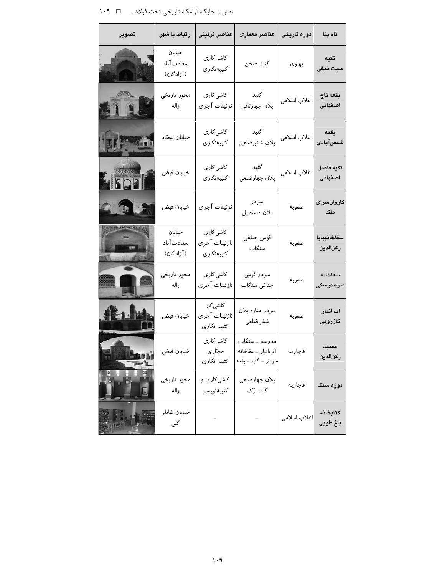نقش و جایگاه آرامگاه تاریخی تخت فولاد … ⊥ ۱۰۹

| تصوير         | ارتباط با شهر                     | عناصر تزئينى                             | عناصر معمارى                                             | دوره تاریخی   | نام بنا                 |
|---------------|-----------------------------------|------------------------------------------|----------------------------------------------------------|---------------|-------------------------|
|               | خيابان<br>سعادت آباد<br>(آزادگان) | کاشی کار ی<br>كتيبەنگارى                 | گنبد صحن                                                 | پهلوی         | تكيه<br>حجت نجفى        |
| 118           | محور تاريخي<br>واله               | کاشی کار ی<br>تزئينات آجرى               | گنبد<br>پلان چهارتاقي                                    | انقلاب اسلامى | بقعه تاج<br>اصفهانى     |
|               | خيابان سجّاد                      | کاشی کار ی<br>كتيبەنگارى                 | گنبد<br>پلان ششضلعی                                      | انقلاب اسلامى | بقعه<br>شمسآبادى        |
| 70,000        | خيابان فيض                        | کاشی کار ی<br>كتيبەنگارى                 | گنبد<br>پلان چهارضلعی                                    | انقلاب اسلامى | تكيه فاضل<br>اصغهانى    |
| 6.3.3         | خيابان فيض                        | تزئينات آجرى                             | سردر<br>پلان مستطيل                                      | صفويه         | كاروانسراى<br>ملک       |
| <b>Simmus</b> | خيابان<br>سعادت آباد<br>(آزادگان) | کاشی کاری<br>تازئينات آجرى<br>كتيبەنگارى | قوس جناغي<br>سنگاب                                       | صفويه         | سقاخانهبابا<br>ركنالدين |
|               | محور تاريخي<br>واله               | کاشی کاری<br>تازئينات آجرى               | سردر قوس<br>جناغی سنگاب                                  | صفويه         | سقاخانه<br>ميرفندرسكى   |
| 推山            | خيابان فيض                        | کاشی کار<br>تازئينات آجرى<br>كتيبه نگارى | سردر مناره پلان<br>شش ضلعی                               | صفويه         | آب انبار<br>كازرونى     |
|               | خيابان فيض                        | کاشی کاری<br>حجّاری<br>كتيبه نگارى       | مدرسه ــ سنگاب<br>آبانبار _ سقاخانه<br>سردر - گنبد- بقعه | قاجاريه       | مسجد<br>ركنالدين        |
|               | محور تاريخي<br>واله               | کاشی کاری و<br>كتيبهنويسى                | پلان چهارضلعی<br>گنبد رُک                                | قاجاريه       | موزه سنگ                |
|               | خيابان شاطر<br>گلی                |                                          |                                                          | انقلاب اسلامى | كتابخانه<br>باغ طوبى    |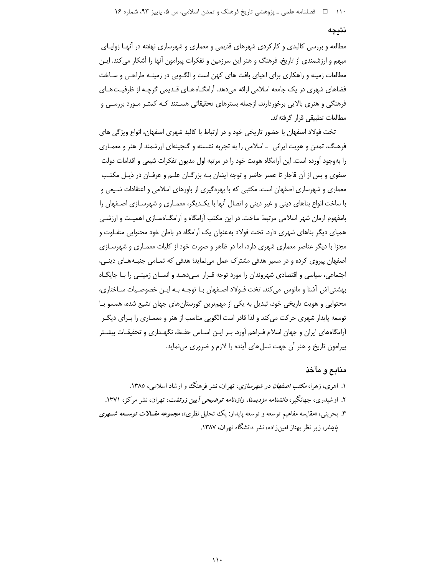۱۱۰ هـ فصلنامه علمي ـ پژوهشي تاريخ فرهنگ و تمدن اسلامي، س ۵، پاييز ۹۳، شماره ۱۶

#### نتيجه

مطالعه و بررسی کالبدی و کارکردی شهرهای قدیمی و معماری و شهرسازی نهفته در آنهـا زوایــای مبهم و ارزشمندی از تاریخ، فرهنگ و هنر این سرزمین و تفکرات پیرامون آنها را آشکار می کند. ایـن مطالعات زمینه و راهکاری برای احیای بافت های کهن است و الگـویی در زمینـه طراحـی و سـاخت فضاهای شهری در یک جامعه اسلامی ارائه می دهد. آرامگـاه هـای قـدیمی گرچـه از ظرفیـت هـای فرهنگی و هنری بالایی برخوردارند، ازجمله بسترهای تحقیقاتی هسـتند کـه کمتـر مـورد بررسـی و مطالعات تطبيقي قرار گرفتهاند.

تخت فولاد اصفهان با حضور تاریخی خود و در ارتباط با کالبد شهری اصفهان، انواع ویژگی های فرهنگ، تمدن و هویت ایرانی \_اسلامی را به تجربه نشسته و گنجینهای ارزشمند از هنر و معمـاری را بهوجود آورده است. این آرامگاه هویت خود را در مرتبه اول مدیون تفکرات شیعی و اقدامات دولت صفوی و پس از آن قاجار تا عصر حاضر و توجه ایشان بـه بزرگـان علـم و عرفـان در ذیـل مکتـب معماری و شهرسازی اصفهان است. مکتبی که با بهرهگیری از باورهای اسلامی و اعتقادات شـیعی و با ساخت انواع بناهای دینی و غیر دینی و اتصال آنها با یک دیگر، معمـاری و شهرسـازی اصـفهان را بامفهوم آرمان شهر اسلامی مرتبط ساخت. در این مکتب آرامگاه و آرامگـاهسـازی اهمیـت و ارزشـی همیای دیگر بناهای شهری دارد. تخت فولاد بهعنوان یک آرامگاه در باطن خود محتوایی متفـاوت و مجزا با دیگر عناصر معماری شهری دارد، اما در ظاهر و صورت خود از کلیات معمـاری و شهرسـازی اصفهان پیروی کرده و در مسیر هدفی مشترک عمل می نماید؛ هدفی که تمـامی جنبـههـای دینـی، اجتماعی، سیاسی و اقتصادی شهروندان را مورد توجه قـرار مـیدهـد و انسـان زمینـی را بـا جایگـاه بهشتی اش آشنا و مانوس می کند. تخت فـولاد اصـفهان بـا توجـه بـه ایـن خصوصـیات سـاختاری، محتوایی و هویت تاریخی خود، تبدیل به یکی از مهمترین گورستان های جهان تشیع شده، همسو بـا توسعه پایدار شهری حرکت می کند و لذا قادر است الگویی مناسب از هنر و معمـاری را بـرای دیگـر آرامگاههای ایران و جهان اسلام فـراهم آورد. بـر ایـن اسـاس حفـظ، نگهـداری و تحقیقـات بیشـتر پیرامون تاریخ و هنر آن جهت نسلهای آینده را لازم و ضروری مینماید.

## منابع و مآخذ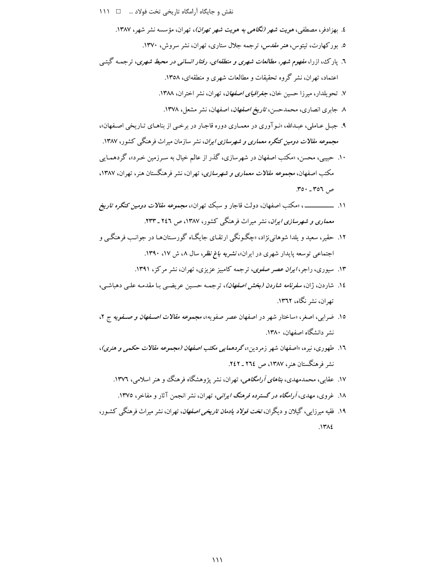- نقش و جایگاه آرامگاه تاریخی تخت فولاد ... □ 1١١
	- ٤. بهزادفر، مصطفى، هويت شهر (نگاهى به هويت شهر تهران)، تهران، مؤسسه نشر شهر، ١٣٨٧.
		- ۵. بورکهارت، تیتوس، *هنر مقدس، تر*جمه جلال ستاری، تهران، نشر سروش، ۱۳۷۰.
- ٦. پارک، ازرا، *مفهوم شهر، مطالعات شهری و منطقهای، رفتار انسانی در محیط شهری*، ترجمـه گیتـبی اعتماد، تهران، نشر گروه تحقیقات و مطالعات شهری و منطقهای، ۱۳۵۸.
	- ٧. تحو بلدار، میرزا حسین خان، *جغرافیای اصفهان*، تهران، نشر اختران، ١٣٨٨.
		- ٨. جابري انصاري، محمدحسن، ت*اريخ اصفهان*، اصفهان، نشر مشعل، ١٣٧٨.
- ۹. جبل عـاملي، عبـدالله، «نـوآوري در معمـاري دوره قاجـار در برخـي از بناهـاي تـاريخي اصـفهان»، مجم*وعه مقالات دومین کنگره معماری و شهرسازی ایران*، نشر سازمان میراث فرهنگی کشور، ۱۳۸۷.
- ۱۰. حییبی، محسن، «مکتب اصفهان در شهرسازی، گذر از عالم خیال به سـرزمین خـرد»، گردهمـایی مکتب اصفهان، *مجموعه مقالات معماری و شهرسازی*، تهران، نشر فرهنگستان هنر، تهران، ۱۳۸۷.  $.701 - .707$
- ۱۱. \_\_\_\_\_\_\_\_\_\_\_، «مكتب اصفهان، دولت قاجار و سبك تهران»، *مجموعه مقالات دومین كنگره تاریخ* معماری و شهرسازی ایران، نشر میراث فرهنگی کشور، ۱۳۸۷، ص ۲٤٦ ـ ۲۳۳.
- ۱۲. حقیر، سعید و پلدا شوهانی نژاد، «چگونگی ارتقای جایگاه گورستانها در جوانب فرهنگی و اجتماعی توسعه پایدار شهری در ایران»، *نشریه باغ نظر*، سال ۸، ش ۱۷، ۱۳۹۰.
	- ۱۳. سیوری، راجر، *ایران عصر صفوی*، ترجمه کامبیز عزیزی، تهران، نشر مرکز، ۱۳۹۱.
- ١٤. شاردن، ژان، *سفرنامه شاردن (بخش اصفهان)*، ترجمـه حسـبن عريضـي بـا مقدمـه علـي دهباشـي، تھ ان، نشر نگاه، ۱۳٦۲.
- ۱۵. ضرابی، اصغر، «ساختار شهر در اصفهان عصر صفویه»، مجم*وعه مقالات اصـفهان و صـفویه ج* ۲، نشر دانشگاه اصفهان، ۱۳۸۰.
- ۱٦. طهوری، نیره، «اصفهان شهر زمردین»،گردهم*ایی مکتب اصفهان (مجموعه مقالات حکمی و هنری)*، نشر فرهنگستان هنر، ۱۳۸۷، ص ۲۶۲ ـ ۲٤۲.
	- ۱۷. عقابی، محمدمهدی، *بناهای آرامگاهی،* تهران، نشر یژوهشگاه فرهنگ و هنر اسلامی، ۱۳۷۶.
	- ۱۸. غروی، مهدی، *آرامگاه در گسترده فرهنگ ایرانی*، تهران، نشر انجمن آثار و مفاخر، ۱۳۷۵.
- ۱۹. فقیه میرزایی، گیلان و دیگران، *تخت فولاد یادمان تاریخی اصفهان*، تهران، نشر میراث فرهنگی کشـور،  $NTAL$